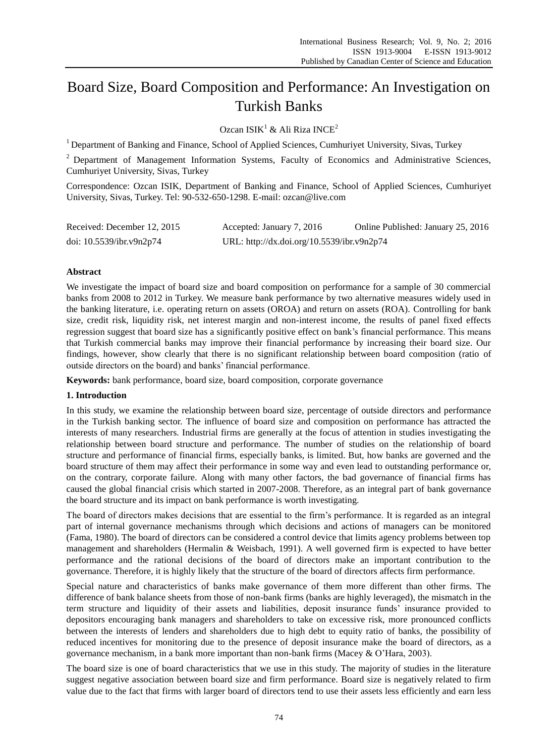# Board Size, Board Composition and Performance: An Investigation on Turkish Banks

Ozcan ISIK<sup>1</sup> & Ali Riza INCE<sup>2</sup>

<sup>1</sup> Department of Banking and Finance, School of Applied Sciences, Cumhuriyet University, Sivas, Turkey

<sup>2</sup> Department of Management Information Systems, Faculty of Economics and Administrative Sciences, Cumhuriyet University, Sivas, Turkey

Correspondence: Ozcan ISIK, Department of Banking and Finance, School of Applied Sciences, Cumhuriyet University, Sivas, Turkey. Tel: 90-532-650-1298. E-mail: ozcan@live.com

| Received: December 12, 2015 | Accepted: January 7, 2016                  | Online Published: January 25, 2016 |
|-----------------------------|--------------------------------------------|------------------------------------|
| doi: 10.5539/ibr.v9n2p74    | URL: http://dx.doi.org/10.5539/ibr.v9n2p74 |                                    |

## **Abstract**

We investigate the impact of board size and board composition on performance for a sample of 30 commercial banks from 2008 to 2012 in Turkey. We measure bank performance by two alternative measures widely used in the banking literature, i.e. operating return on assets (OROA) and return on assets (ROA). Controlling for bank size, credit risk, liquidity risk, net interest margin and non-interest income, the results of panel fixed effects regression suggest that board size has a significantly positive effect on bank's financial performance. This means that Turkish commercial banks may improve their financial performance by increasing their board size. Our findings, however, show clearly that there is no significant relationship between board composition (ratio of outside directors on the board) and banks' financial performance.

**Keywords:** bank performance, board size, board composition, corporate governance

# **1. Introduction**

In this study, we examine the relationship between board size, percentage of outside directors and performance in the Turkish banking sector. The influence of board size and composition on performance has attracted the interests of many researchers. Industrial firms are generally at the focus of attention in studies investigating the relationship between board structure and performance. The number of studies on the relationship of board structure and performance of financial firms, especially banks, is limited. But, how banks are governed and the board structure of them may affect their performance in some way and even lead to outstanding performance or, on the contrary, corporate failure. Along with many other factors, the bad governance of financial firms has caused the global financial crisis which started in 2007-2008. Therefore, as an integral part of bank governance the board structure and its impact on bank performance is worth investigating.

The board of directors makes decisions that are essential to the firm's performance. It is regarded as an integral part of internal governance mechanisms through which decisions and actions of managers can be monitored (Fama, 1980). The board of directors can be considered a control device that limits agency problems between top management and shareholders (Hermalin & Weisbach, 1991). A well governed firm is expected to have better performance and the rational decisions of the board of directors make an important contribution to the governance. Therefore, it is highly likely that the structure of the board of directors affects firm performance.

Special nature and characteristics of banks make governance of them more different than other firms. The difference of bank balance sheets from those of non-bank firms (banks are highly leveraged), the mismatch in the term structure and liquidity of their assets and liabilities, deposit insurance funds' insurance provided to depositors encouraging bank managers and shareholders to take on excessive risk, more pronounced conflicts between the interests of lenders and shareholders due to high debt to equity ratio of banks, the possibility of reduced incentives for monitoring due to the presence of deposit insurance make the board of directors, as a governance mechanism, in a bank more important than non-bank firms (Macey & O'Hara, 2003).

The board size is one of board characteristics that we use in this study. The majority of studies in the literature suggest negative association between board size and firm performance. Board size is negatively related to firm value due to the fact that firms with larger board of directors tend to use their assets less efficiently and earn less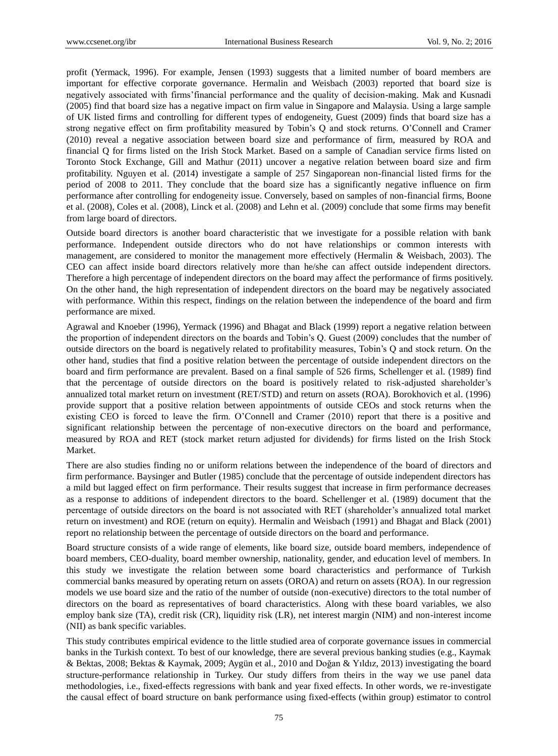profit (Yermack, 1996). For example, Jensen (1993) suggests that a limited number of board members are important for effective corporate governance. Hermalin and Weisbach (2003) reported that board size is negatively associated with firms'financial performance and the quality of decision-making. Mak and Kusnadi (2005) find that board size has a negative impact on firm value in Singapore and Malaysia. Using a large sample of UK listed firms and controlling for different types of endogeneity, Guest (2009) finds that board size has a strong negative effect on firm profitability measured by Tobin's Q and stock returns. O'Connell and Cramer (2010) reveal a negative association between board size and performance of firm, measured by ROA and financial Q for firms listed on the Irish Stock Market. Based on a sample of Canadian service firms listed on Toronto Stock Exchange, Gill and Mathur (2011) uncover a negative relation between board size and firm profitability. Nguyen et al. (2014) investigate a sample of 257 Singaporean non-financial listed firms for the period of 2008 to 2011. They conclude that the board size has a significantly negative influence on firm performance after controlling for endogeneity issue. Conversely, based on samples of non-financial firms, Boone et al. (2008), Coles et al. (2008), Linck et al. (2008) and Lehn et al. (2009) conclude that some firms may benefit from large board of directors.

Outside board directors is another board characteristic that we investigate for a possible relation with bank performance. Independent outside directors who do not have relationships or common interests with management, are considered to monitor the management more effectively (Hermalin & Weisbach, 2003). The CEO can affect inside board directors relatively more than he/she can affect outside independent directors. Therefore a high percentage of independent directors on the board may affect the performance of firms positively. On the other hand, the high representation of independent directors on the board may be negatively associated with performance. Within this respect, findings on the relation between the independence of the board and firm performance are mixed.

Agrawal and Knoeber (1996), Yermack (1996) and Bhagat and Black (1999) report a negative relation between the proportion of independent directors on the boards and Tobin's Q. Guest (2009) concludes that the number of outside directors on the board is negatively related to profitability measures, Tobin's Q and stock return. On the other hand, studies that find a positive relation between the percentage of outside independent directors on the board and firm performance are prevalent. Based on a final sample of 526 firms, Schellenger et al. (1989) find that the percentage of outside directors on the board is positively related to risk-adjusted shareholder's annualized total market return on investment (RET/STD) and return on assets (ROA). Borokhovich et al. (1996) provide support that a positive relation between appointments of outside CEOs and stock returns when the existing CEO is forced to leave the firm. O'Connell and Cramer (2010) report that there is a positive and significant relationship between the percentage of non-executive directors on the board and performance, measured by ROA and RET (stock market return adjusted for dividends) for firms listed on the Irish Stock Market.

There are also studies finding no or uniform relations between the independence of the board of directors and firm performance. Baysinger and Butler (1985) conclude that the percentage of outside independent directors has a mild but lagged effect on firm performance. Their results suggest that increase in firm performance decreases as a response to additions of independent directors to the board. Schellenger et al. (1989) document that the percentage of outside directors on the board is not associated with RET (shareholder's annualized total market return on investment) and ROE (return on equity). Hermalin and Weisbach (1991) and Bhagat and Black (2001) report no relationship between the percentage of outside directors on the board and performance.

Board structure consists of a wide range of elements, like board size, outside board members, independence of board members, CEO-duality, board member ownership, nationality, gender, and education level of members. In this study we investigate the relation between some board characteristics and performance of Turkish commercial banks measured by operating return on assets (OROA) and return on assets (ROA). In our regression models we use board size and the ratio of the number of outside (non-executive) directors to the total number of directors on the board as representatives of board characteristics. Along with these board variables, we also employ bank size (TA), credit risk (CR), liquidity risk (LR), net interest margin (NIM) and non-interest income (NII) as bank specific variables.

This study contributes empirical evidence to the little studied area of corporate governance issues in commercial banks in the Turkish context. To best of our knowledge, there are several previous banking studies (e.g., Kaymak & Bektas, 2008; Bektas & Kaymak, 2009; Aygün et al., 2010 and Doğan & Yıldız, 2013) investigating the board structure-performance relationship in Turkey. Our study differs from theirs in the way we use panel data methodologies, i.e., fixed-effects regressions with bank and year fixed effects. In other words, we re-investigate the causal effect of board structure on bank performance using fixed-effects (within group) estimator to control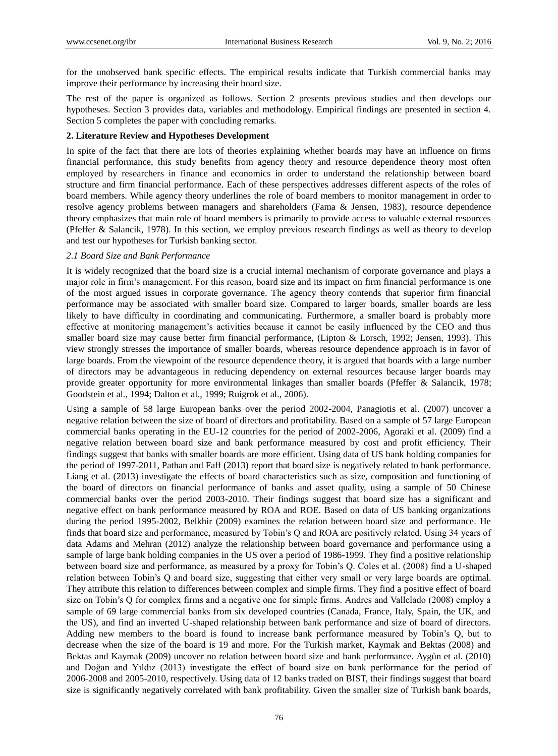for the unobserved bank specific effects. The empirical results indicate that Turkish commercial banks may improve their performance by increasing their board size.

The rest of the paper is organized as follows. Section 2 presents previous studies and then develops our hypotheses. Section 3 provides data, variables and methodology. Empirical findings are presented in section 4. Section 5 completes the paper with concluding remarks.

## **2. Literature Review and Hypotheses Development**

In spite of the fact that there are lots of theories explaining whether boards may have an influence on firms financial performance, this study benefits from agency theory and resource dependence theory most often employed by researchers in finance and economics in order to understand the relationship between board structure and firm financial performance. Each of these perspectives addresses different aspects of the roles of board members. While agency theory underlines the role of board members to monitor management in order to resolve agency problems between managers and shareholders (Fama & Jensen, 1983), resource dependence theory emphasizes that main role of board members is primarily to provide access to valuable external resources (Pfeffer & Salancik, 1978). In this section, we employ previous research findings as well as theory to develop and test our hypotheses for Turkish banking sector.

## *2.1 Board Size and Bank Performance*

It is widely recognized that the board size is a crucial internal mechanism of corporate governance and plays a major role in firm's management. For this reason, board size and its impact on firm financial performance is one of the most argued issues in corporate governance. The agency theory contends that superior firm financial performance may be associated with smaller board size. Compared to larger boards, smaller boards are less likely to have difficulty in coordinating and communicating. Furthermore, a smaller board is probably more effective at monitoring management's activities because it cannot be easily influenced by the CEO and thus smaller board size may cause better firm financial performance, (Lipton & Lorsch, 1992; Jensen, 1993). This view strongly stresses the importance of smaller boards, whereas resource dependence approach is in favor of large boards. From the viewpoint of the resource dependence theory, it is argued that boards with a large number of directors may be advantageous in reducing dependency on external resources because larger boards may provide greater opportunity for more environmental linkages than smaller boards (Pfeffer & Salancik, 1978; Goodstein et al., 1994; Dalton et al., 1999; Ruigrok et al., 2006).

Using a sample of 58 large European banks over the period 2002-2004, Panagiotis et al. (2007) uncover a negative relation between the size of board of directors and profitability. Based on a sample of 57 large European commercial banks operating in the EU-12 countries for the period of 2002-2006, Agoraki et al. (2009) find a negative relation between board size and bank performance measured by cost and profit efficiency. Their findings suggest that banks with smaller boards are more efficient. Using data of US bank holding companies for the period of 1997-2011, Pathan and Faff (2013) report that board size is negatively related to bank performance. Liang et al. (2013) investigate the effects of board characteristics such as size, composition and functioning of the board of directors on financial performance of banks and asset quality, using a sample of 50 Chinese commercial banks over the period 2003-2010. Their findings suggest that board size has a significant and negative effect on bank performance measured by ROA and ROE. Based on data of US banking organizations during the period 1995-2002, Belkhir (2009) examines the relation between board size and performance. He finds that board size and performance, measured by Tobin's Q and ROA are positively related. Using 34 years of data Adams and Mehran (2012) analyze the relationship between board governance and performance using a sample of large bank holding companies in the US over a period of 1986-1999. They find a positive relationship between board size and performance, as measured by a proxy for Tobin's Q. Coles et al. (2008) find a U-shaped relation between Tobin's Q and board size, suggesting that either very small or very large boards are optimal. They attribute this relation to differences between complex and simple firms. They find a positive effect of board size on Tobin's Q for complex firms and a negative one for simple firms. Andres and Vallelado (2008) employ a sample of 69 large commercial banks from six developed countries (Canada, France, Italy, Spain, the UK, and the US), and find an inverted U-shaped relationship between bank performance and size of board of directors. Adding new members to the board is found to increase bank performance measured by Tobin's Q, but to decrease when the size of the board is 19 and more. For the Turkish market, Kaymak and Bektas (2008) and Bektas and Kaymak (2009) uncover no relation between board size and bank performance. Aygün et al. (2010) and Doğan and Yıldız (2013) investigate the effect of board size on bank performance for the period of 2006-2008 and 2005-2010, respectively. Using data of 12 banks traded on BIST, their findings suggest that board size is significantly negatively correlated with bank profitability. Given the smaller size of Turkish bank boards,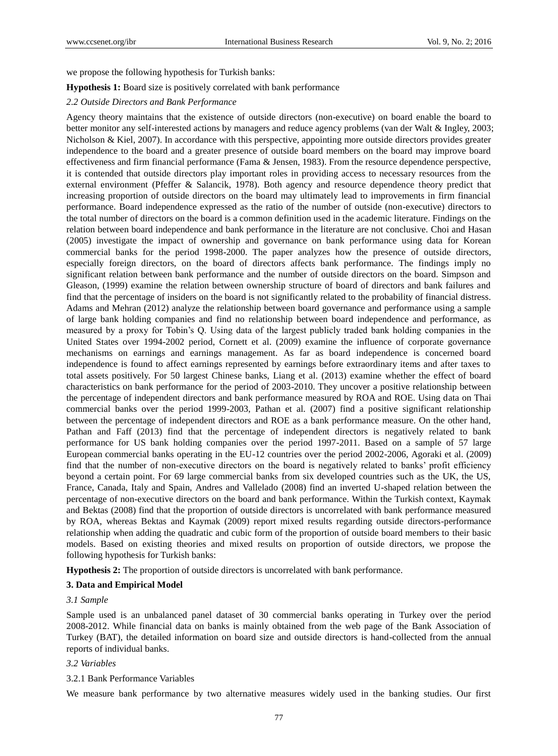we propose the following hypothesis for Turkish banks:

#### **Hypothesis 1:** Board size is positively correlated with bank performance

#### *2.2 Outside Directors and Bank Performance*

Agency theory maintains that the existence of outside directors (non-executive) on board enable the board to better monitor any self-interested actions by managers and reduce agency problems (van der Walt & Ingley, 2003; Nicholson & Kiel, 2007). In accordance with this perspective, appointing more outside directors provides greater independence to the board and a greater presence of outside board members on the board may improve board effectiveness and firm financial performance (Fama & Jensen, 1983). From the resource dependence perspective, it is contended that outside directors play important roles in providing access to necessary resources from the external environment (Pfeffer & Salancik, 1978). Both agency and resource dependence theory predict that increasing proportion of outside directors on the board may ultimately lead to improvements in firm financial performance. Board independence expressed as the ratio of the number of outside (non-executive) directors to the total number of directors on the board is a common definition used in the academic literature. Findings on the relation between board independence and bank performance in the literature are not conclusive. Choi and Hasan (2005) investigate the impact of ownership and governance on bank performance using data for Korean commercial banks for the period 1998-2000. The paper analyzes how the presence of outside directors, especially foreign directors, on the board of directors affects bank performance. The findings imply no significant relation between bank performance and the number of outside directors on the board. Simpson and Gleason, (1999) examine the relation between ownership structure of board of directors and bank failures and find that the percentage of insiders on the board is not significantly related to the probability of financial distress. Adams and Mehran (2012) analyze the relationship between board governance and performance using a sample of large bank holding companies and find no relationship between board independence and performance, as measured by a proxy for Tobin's Q. Using data of the largest publicly traded bank holding companies in the United States over 1994-2002 period, Cornett et al. (2009) examine the influence of corporate governance mechanisms on earnings and earnings management. As far as board independence is concerned board independence is found to affect earnings represented by earnings before extraordinary items and after taxes to total assets positively. For 50 largest Chinese banks, Liang et al. (2013) examine whether the effect of board characteristics on bank performance for the period of 2003-2010. They uncover a positive relationship between the percentage of independent directors and bank performance measured by ROA and ROE. Using data on Thai commercial banks over the period 1999-2003, Pathan et al. (2007) find a positive significant relationship between the percentage of independent directors and ROE as a bank performance measure. On the other hand, Pathan and Faff (2013) find that the percentage of independent directors is negatively related to bank performance for US bank holding companies over the period 1997-2011. Based on a sample of 57 large European commercial banks operating in the EU-12 countries over the period 2002-2006, Agoraki et al. (2009) find that the number of non-executive directors on the board is negatively related to banks' profit efficiency beyond a certain point. For 69 large commercial banks from six developed countries such as the UK, the US, France, Canada, Italy and Spain, Andres and Vallelado (2008) find an inverted U-shaped relation between the percentage of non-executive directors on the board and bank performance. Within the Turkish context, Kaymak and Bektas (2008) find that the proportion of outside directors is uncorrelated with bank performance measured by ROA, whereas Bektas and Kaymak (2009) report mixed results regarding outside directors-performance relationship when adding the quadratic and cubic form of the proportion of outside board members to their basic models. Based on existing theories and mixed results on proportion of outside directors, we propose the following hypothesis for Turkish banks:

**Hypothesis 2:** The proportion of outside directors is uncorrelated with bank performance.

#### **3. Data and Empirical Model**

## *3.1 Sample*

Sample used is an unbalanced panel dataset of 30 commercial banks operating in Turkey over the period 2008-2012. While financial data on banks is mainly obtained from the web page of the Bank Association of Turkey (BAT), the detailed information on board size and outside directors is hand-collected from the annual reports of individual banks.

#### *3.2 Variables*

## 3.2.1 Bank Performance Variables

We measure bank performance by two alternative measures widely used in the banking studies. Our first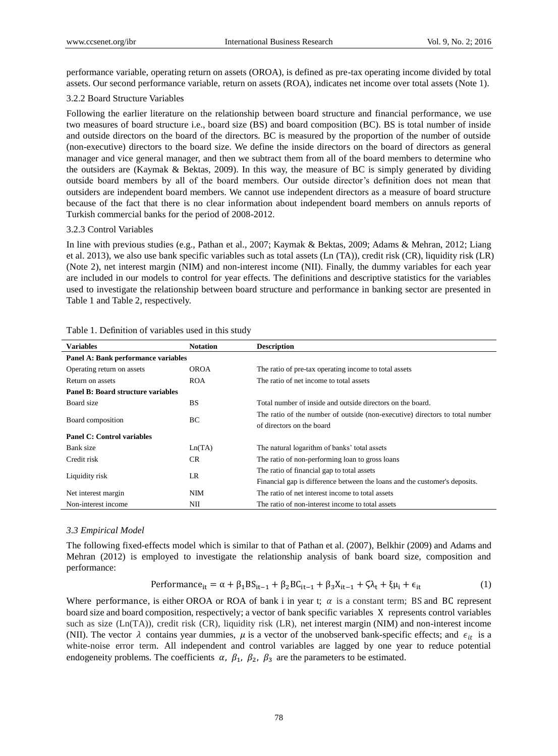performance variable, operating return on assets (OROA), is defined as pre-tax operating income divided by total assets. Our second performance variable, return on assets (ROA), indicates net income over total assets (Note 1).

### 3.2.2 Board Structure Variables

Following the earlier literature on the relationship between board structure and financial performance, we use two measures of board structure i.e., board size (BS) and board composition (BC). BS is total number of inside and outside directors on the board of the directors. BC is measured by the proportion of the number of outside (non-executive) directors to the board size. We define the inside directors on the board of directors as general manager and vice general manager, and then we subtract them from all of the board members to determine who the outsiders are (Kaymak & Bektas, 2009). In this way, the measure of BC is simply generated by dividing outside board members by all of the board members. Our outside director's definition does not mean that outsiders are independent board members. We cannot use independent directors as a measure of board structure because of the fact that there is no clear information about independent board members on annuls reports of Turkish commercial banks for the period of 2008-2012.

#### 3.2.3 Control Variables

In line with previous studies (e.g., Pathan et al., 2007; Kaymak & Bektas, 2009; Adams & Mehran, 2012; Liang et al. 2013), we also use bank specific variables such as total assets (Ln (TA)), credit risk (CR), liquidity risk (LR) (Note 2), net interest margin (NIM) and non-interest income (NII). Finally, the dummy variables for each year are included in our models to control for year effects. The definitions and descriptive statistics for the variables used to investigate the relationship between board structure and performance in banking sector are presented in Table 1 and Table 2, respectively.

| <b>Variables</b>                          | <b>Notation</b> | <b>Description</b>                                                           |
|-------------------------------------------|-----------------|------------------------------------------------------------------------------|
| Panel A: Bank performance variables       |                 |                                                                              |
| Operating return on assets                | <b>OROA</b>     | The ratio of pre-tax operating income to total assets                        |
| Return on assets                          | <b>ROA</b>      | The ratio of net income to total assets                                      |
| <b>Panel B: Board structure variables</b> |                 |                                                                              |
| Board size                                | <b>BS</b>       | Total number of inside and outside directors on the board.                   |
| Board composition                         | BC              | The ratio of the number of outside (non-executive) directors to total number |
|                                           |                 | of directors on the board                                                    |
| <b>Panel C: Control variables</b>         |                 |                                                                              |
| Bank size                                 | Ln(TA)          | The natural logarithm of banks' total assets                                 |
| Credit risk                               | CR.             | The ratio of non-performing loan to gross loans                              |
| Liquidity risk                            |                 | The ratio of financial gap to total assets                                   |
|                                           | LR              | Financial gap is difference between the loans and the customer's deposits.   |
| Net interest margin                       | <b>NIM</b>      | The ratio of net interest income to total assets                             |
| Non-interest income                       | NΠ              | The ratio of non-interest income to total assets                             |

#### Table 1. Definition of variables used in this study

#### *3.3 Empirical Model*

The following fixed-effects model which is similar to that of Pathan et al. (2007), Belkhir (2009) and Adams and Mehran (2012) is employed to investigate the relationship analysis of bank board size, composition and performance:

$$
\text{Performance}_{it} = \alpha + \beta_1 BS_{it-1} + \beta_2 BC_{it-1} + \beta_3 X_{it-1} + \zeta \lambda_t + \xi \mu_i + \epsilon_{it} \tag{1}
$$

Where performance, is either OROA or ROA of bank i in year t;  $\alpha$  is a constant term; BS and BC represent board size and board composition, respectively; a vector of bank specific variables X represents control variables such as size (Ln(TA)), credit risk (CR), liquidity risk (LR), net interest margin (NIM) and non-interest income (NII). The vector  $\lambda$  contains year dummies,  $\mu$  is a vector of the unobserved bank-specific effects; and  $\epsilon_{it}$  is a white-noise error term. All independent and control variables are lagged by one year to reduce potential endogeneity problems. The coefficients  $\alpha$ ,  $\beta_1$ ,  $\beta_2$ ,  $\beta_3$  are the parameters to be estimated.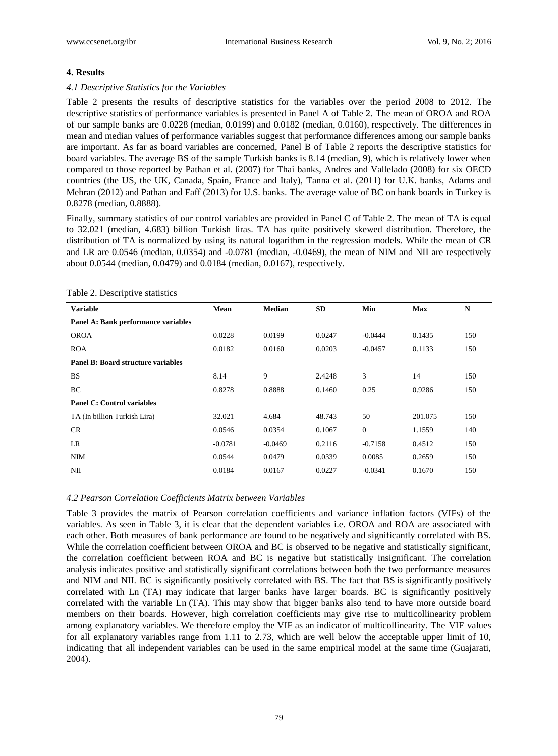# **4. Results**

# *4.1 Descriptive Statistics for the Variables*

Table 2 presents the results of descriptive statistics for the variables over the period 2008 to 2012. The descriptive statistics of performance variables is presented in Panel A of Table 2. The mean of OROA and ROA of our sample banks are 0.0228 (median, 0.0199) and 0.0182 (median, 0.0160), respectively. The differences in mean and median values of performance variables suggest that performance differences among our sample banks are important. As far as board variables are concerned, Panel B of Table 2 reports the descriptive statistics for board variables. The average BS of the sample Turkish banks is 8.14 (median, 9), which is relatively lower when compared to those reported by Pathan et al. (2007) for Thai banks, Andres and Vallelado (2008) for six OECD countries (the US, the UK, Canada, Spain, France and Italy), Tanna et al. (2011) for U.K. banks, Adams and Mehran (2012) and Pathan and Faff (2013) for U.S. banks. The average value of BC on bank boards in Turkey is 0.8278 (median, 0.8888).

Finally, summary statistics of our control variables are provided in Panel C of Table 2. The mean of TA is equal to 32.021 (median, 4.683) billion Turkish liras. TA has quite positively skewed distribution. Therefore, the distribution of TA is normalized by using its natural logarithm in the regression models. While the mean of CR and LR are 0.0546 (median, 0.0354) and -0.0781 (median, -0.0469), the mean of NIM and NII are respectively about 0.0544 (median, 0.0479) and 0.0184 (median, 0.0167), respectively.

| <b>Variable</b>                     | Mean      | <b>Median</b> | SD     | Min            | <b>Max</b> | N   |  |  |
|-------------------------------------|-----------|---------------|--------|----------------|------------|-----|--|--|
| Panel A: Bank performance variables |           |               |        |                |            |     |  |  |
| <b>OROA</b>                         | 0.0228    | 0.0199        | 0.0247 | $-0.0444$      | 0.1435     | 150 |  |  |
| <b>ROA</b>                          | 0.0182    | 0.0160        | 0.0203 | $-0.0457$      | 0.1133     | 150 |  |  |
| Panel B: Board structure variables  |           |               |        |                |            |     |  |  |
| <b>BS</b>                           | 8.14      | 9             | 2.4248 | 3              | 14         | 150 |  |  |
| BC                                  | 0.8278    | 0.8888        | 0.1460 | 0.25           | 0.9286     | 150 |  |  |
| <b>Panel C: Control variables</b>   |           |               |        |                |            |     |  |  |
| TA (In billion Turkish Lira)        | 32.021    | 4.684         | 48.743 | 50             | 201.075    | 150 |  |  |
| CR                                  | 0.0546    | 0.0354        | 0.1067 | $\overline{0}$ | 1.1559     | 140 |  |  |
| LR                                  | $-0.0781$ | $-0.0469$     | 0.2116 | $-0.7158$      | 0.4512     | 150 |  |  |
| NIM                                 | 0.0544    | 0.0479        | 0.0339 | 0.0085         | 0.2659     | 150 |  |  |
| NП                                  | 0.0184    | 0.0167        | 0.0227 | $-0.0341$      | 0.1670     | 150 |  |  |

Table 2. Descriptive statistics

# *4.2 Pearson Correlation Coefficients Matrix between Variables*

Table 3 provides the matrix of Pearson correlation coefficients and variance inflation factors (VIFs) of the variables. As seen in Table 3, it is clear that the dependent variables i.e. OROA and ROA are associated with each other. Both measures of bank performance are found to be negatively and significantly correlated with BS. While the correlation coefficient between OROA and BC is observed to be negative and statistically significant, the correlation coefficient between ROA and BC is negative but statistically insignificant. The correlation analysis indicates positive and statistically significant correlations between both the two performance measures and NIM and NII. BC is significantly positively correlated with BS. The fact that BS is significantly positively correlated with Ln (TA) may indicate that larger banks have larger boards. BC is significantly positively correlated with the variable Ln (TA). This may show that bigger banks also tend to have more outside board members on their boards. However, high correlation coefficients may give rise to multicollinearity problem among explanatory variables. We therefore employ the VIF as an indicator of multicollinearity. The VIF values for all explanatory variables range from 1.11 to 2.73, which are well below the acceptable upper limit of 10, indicating that all independent variables can be used in the same empirical model at the same time (Guajarati, 2004).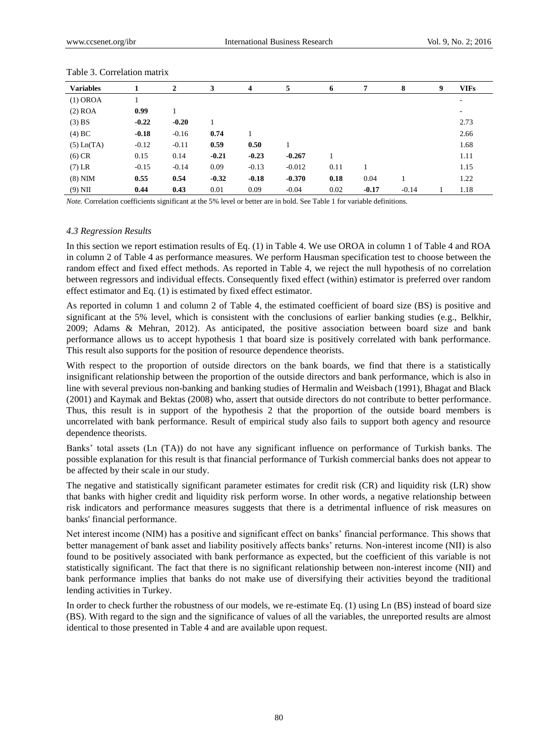| <b>Variables</b> |         | 2       | 3       | 4       | 5        | 6    | 7       | 8       | 9 | <b>VIFs</b> |
|------------------|---------|---------|---------|---------|----------|------|---------|---------|---|-------------|
| (1) OROA         |         |         |         |         |          |      |         |         |   | ٠           |
| $(2)$ ROA        | 0.99    |         |         |         |          |      |         |         |   | ٠           |
| $(3)$ BS         | $-0.22$ | $-0.20$ |         |         |          |      |         |         |   | 2.73        |
| $(4)$ BC         | $-0.18$ | $-0.16$ | 0.74    |         |          |      |         |         |   | 2.66        |
| $(5)$ Ln $(TA)$  | $-0.12$ | $-0.11$ | 0.59    | 0.50    |          |      |         |         |   | 1.68        |
| $(6)$ CR         | 0.15    | 0.14    | $-0.21$ | $-0.23$ | $-0.267$ |      |         |         |   | 1.11        |
| $(7)$ LR         | $-0.15$ | $-0.14$ | 0.09    | $-0.13$ | $-0.012$ | 0.11 |         |         |   | 1.15        |
| $(8)$ NIM        | 0.55    | 0.54    | $-0.32$ | $-0.18$ | $-0.370$ | 0.18 | 0.04    |         |   | 1.22        |
| $(9)$ NII        | 0.44    | 0.43    | 0.01    | 0.09    | $-0.04$  | 0.02 | $-0.17$ | $-0.14$ |   | 1.18        |

#### Table 3. Correlation matrix

*Note.* Correlation coefficients significant at the 5% level or better are in bold. See Table 1 for variable definitions.

#### *4.3 Regression Results*

In this section we report estimation results of Eq. (1) in Table 4. We use OROA in column 1 of Table 4 and ROA in column 2 of Table 4 as performance measures. We perform Hausman specification test to choose between the random effect and fixed effect methods. As reported in Table 4, we reject the null hypothesis of no correlation between regressors and individual effects. Consequently fixed effect (within) estimator is preferred over random effect estimator and Eq. (1) is estimated by fixed effect estimator.

As reported in column 1 and column 2 of Table 4, the estimated coefficient of board size (BS) is positive and significant at the 5% level, which is consistent with the conclusions of earlier banking studies (e.g., Belkhir, 2009; Adams & Mehran, 2012). As anticipated, the positive association between board size and bank performance allows us to accept hypothesis 1 that board size is positively correlated with bank performance. This result also supports for the position of resource dependence theorists.

With respect to the proportion of outside directors on the bank boards, we find that there is a statistically insignificant relationship between the proportion of the outside directors and bank performance, which is also in line with several previous non-banking and banking studies of Hermalin and Weisbach (1991), Bhagat and Black (2001) and Kaymak and Bektas (2008) who, assert that outside directors do not contribute to better performance. Thus, this result is in support of the hypothesis 2 that the proportion of the outside board members is uncorrelated with bank performance. Result of empirical study also fails to support both agency and resource dependence theorists.

Banks' total assets (Ln (TA)) do not have any significant influence on performance of Turkish banks. The possible explanation for this result is that financial performance of Turkish commercial banks does not appear to be affected by their scale in our study.

The negative and statistically significant parameter estimates for credit risk (CR) and liquidity risk (LR) show that banks with higher credit and liquidity risk perform worse. In other words, a negative relationship between risk indicators and performance measures suggests that there is a detrimental influence of risk measures on banks' financial performance.

Net interest income (NIM) has a positive and significant effect on banks' financial performance. This shows that better management of bank asset and liability positively affects banks' returns. Non-interest income (NII) is also found to be positively associated with bank performance as expected, but the coefficient of this variable is not statistically significant. The fact that there is no significant relationship between non-interest income (NII) and bank performance implies that banks do not make use of diversifying their activities beyond the traditional lending activities in Turkey.

In order to check further the robustness of our models, we re-estimate Eq. (1) using Ln (BS) instead of board size (BS). With regard to the sign and the significance of values of all the variables, the unreported results are almost identical to those presented in Table 4 and are available upon request.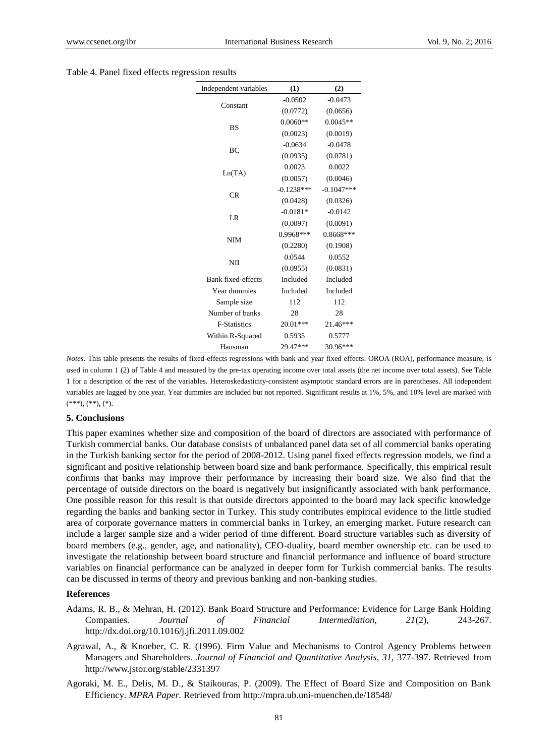| Table 4. Panel fixed effects regression results |
|-------------------------------------------------|
|-------------------------------------------------|

| Independent variables     | (1)          | (2)          |
|---------------------------|--------------|--------------|
|                           | $-0.0502$    | $-0.0473$    |
| Constant                  | (0.0772)     | (0.0656)     |
| <b>BS</b>                 | $0.0060**$   | $0.0045**$   |
|                           | (0.0023)     | (0.0019)     |
| <b>BC</b>                 | $-0.0634$    | $-0.0478$    |
|                           | (0.0935)     | (0.0781)     |
|                           | 0.0023       | 0.0022       |
| Ln(TA)                    | (0.0057)     | (0.0046)     |
| <b>CR</b>                 | $-0.1238***$ | $-0.1047***$ |
|                           | (0.0428)     | (0.0326)     |
| LR                        | $-0.0181*$   | $-0.0142$    |
|                           | (0.0097)     | (0.0091)     |
| <b>NIM</b>                | 0.9968***    | $0.8668***$  |
|                           | (0.2280)     | (0.1908)     |
| NII                       | 0.0544       | 0.0552       |
|                           | (0.0955)     | (0.0831)     |
| <b>Bank fixed-effects</b> | Included     | Included     |
| Year dummies              | Included     | Included     |
| Sample size               | 112          | 112          |
| Number of banks           | 28           | 28           |
| <b>F-Statistics</b>       | $20.01***$   | 21.46***     |
| Within R-Squared          | 0.5935       | 0.5777       |
| Hausman                   | 29.47***     | 30.96***     |

*Notes.* This table presents the results of fixed-effects regressions with bank and year fixed effects. OROA (ROA), performance measure, is used in column 1 (2) of Table 4 and measured by the pre-tax operating income over total assets (the net income over total assets). See Table 1 for a description of the rest of the variables. Heteroskedasticity-consistent asymptotic standard errors are in parentheses. All independent variables are lagged by one year. Year dummies are included but not reported. Significant results at 1%, 5%, and 10% level are marked with  $(***), (**), (*).$ 

#### **5. Conclusions**

This paper examines whether size and composition of the board of directors are associated with performance of Turkish commercial banks. Our database consists of unbalanced panel data set of all commercial banks operating in the Turkish banking sector for the period of 2008-2012. Using panel fixed effects regression models, we find a significant and positive relationship between board size and bank performance. Specifically, this empirical result confirms that banks may improve their performance by increasing their board size. We also find that the percentage of outside directors on the board is negatively but insignificantly associated with bank performance. One possible reason for this result is that outside directors appointed to the board may lack specific knowledge regarding the banks and banking sector in Turkey. This study contributes empirical evidence to the little studied area of corporate governance matters in commercial banks in Turkey, an emerging market. Future research can include a larger sample size and a wider period of time different. Board structure variables such as diversity of board members (e.g., gender, age, and nationality), CEO-duality, board member ownership etc. can be used to investigate the relationship between board structure and financial performance and influence of board structure variables on financial performance can be analyzed in deeper form for Turkish commercial banks. The results can be discussed in terms of theory and previous banking and non-banking studies.

#### **References**

- Adams, R. B., & Mehran, H. (2012). Bank Board Structure and Performance: Evidence for Large Bank Holding Companies. *Journal of Financial Intermediation, 21*(2), 243-267. http://dx.doi.org/10.1016/j.jfi.2011.09.002
- Agrawal, A., & Knoeber, C. R. (1996). Firm Value and Mechanisms to Control Agency Problems between Managers and Shareholders. *Journal of Financial and Quantitative Analysis, 31,* 377-397. Retrieved from http://www.jstor.org/stable/2331397
- Agoraki, M. E., Delis, M. D., & Staikouras, P. (2009). The Effect of Board Size and Composition on Bank Efficiency. *MPRA Paper.* Retrieved from http://mpra.ub.uni-muenchen.de/18548/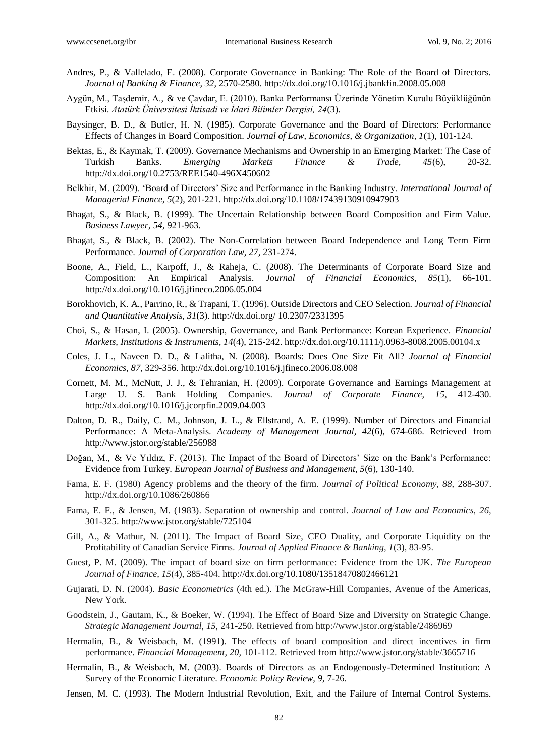- Andres, P., & Vallelado, E. (2008). Corporate Governance in Banking: The Role of the Board of Directors. *Journal of Banking & Finance, 32,* 2570-2580. http://dx.doi.org/10.1016/j.jbankfin.2008.05.008
- Aygün, M., Taşdemir, A., & ve Çavdar, E. (2010). Banka Performansı Üzerinde Yönetim Kurulu Büyüklüğünün Etkisi. *Atatürk Üniversitesi İktisadi ve İdari Bilimler Dergisi, 24*(3).
- Baysinger, B. D., & Butler, H. N. (1985). Corporate Governance and the Board of Directors: Performance Effects of Changes in Board Composition. *Journal of Law, Economics, & Organization, 1*(1), 101-124.
- Bektas, E., & Kaymak, T. (2009). Governance Mechanisms and Ownership in an Emerging Market: The Case of Turkish Banks. *Emerging Markets Finance & Trade, 45*(6), 20-32. http://dx.doi.org/10.2753/REE1540-496X450602
- Belkhir, M. (2009). 'Board of Directors' Size and Performance in the Banking Industry. *International Journal of Managerial Finance, 5*(2), 201-221. http://dx.doi.org/10.1108/17439130910947903
- Bhagat, S., & Black, B. (1999). The Uncertain Relationship between Board Composition and Firm Value. *Business Lawyer, 54,* 921-963.
- Bhagat, S., & Black, B. (2002). The Non-Correlation between Board Independence and Long Term Firm Performance. *Journal of Corporation Law, 27,* 231-274.
- Boone, A., Field, L., Karpoff, J., & Raheja, C. (2008). The Determinants of Corporate Board Size and Composition: An Empirical Analysis. *Journal of Financial Economics, 85*(1), 66-101. http://dx.doi.org/10.1016/j.jfineco.2006.05.004
- Borokhovich, K. A., Parrino, R., & Trapani, T. (1996). Outside Directors and CEO Selection. *Journal of Financial and Quantitative Analysis, 31*(3). http://dx.doi.org/ 10.2307/2331395
- Choi, S., & Hasan, I. (2005). Ownership, Governance, and Bank Performance: Korean Experience. *Financial Markets, Institutions & Instruments, 14*(4), 215-242. http://dx.doi.org/10.1111/j.0963-8008.2005.00104.x
- Coles, J. L., Naveen D. D., & Lalitha, N. (2008). Boards: Does One Size Fit All? *Journal of Financial Economics, 87*, 329-356. http://dx.doi.org/[10.1016/j.jfineco.2006.08.008](http://dx.doi.org/10.1016/j.jfineco.2006.08.008)
- Cornett, M. M., McNutt, J. J., & Tehranian, H. (2009). Corporate Governance and Earnings Management at Large U. S. Bank Holding Companies. *Journal of Corporate Finance, 15,* 412-430. <http://dx.doi.org/10.1016/j.jcorpfin.2009.04.003>
- Dalton, D. R., Daily, C. M., Johnson, J. L., & Ellstrand, A. E. (1999). Number of Directors and Financial Performance: A Meta-Analysis. *Academy of Management Journal, 42*(6), 674-686. Retrieved from http://www.jstor.org/stable/256988
- Doğan, M., & Ve Yıldız, F. (2013). The Impact of the Board of Directors' Size on the Bank's Performance: Evidence from Turkey. *European Journal of Business and Management, 5*(6), 130-140.
- Fama, E. F. (1980) Agency problems and the theory of the firm. *Journal of Political Economy, 88,* 288-307. http://dx.doi.org/10.1086/260866
- Fama, E. F., & Jensen, M. (1983). Separation of ownership and control. *Journal of Law and Economics, 26,* 301-325. http://www.jstor.org/stable/725104
- Gill, A., & Mathur, N. (2011). The Impact of Board Size, CEO Duality, and Corporate Liquidity on the Profitability of Canadian Service Firms. *Journal of Applied Finance & Banking, 1*(3), 83-95.
- Guest, P. M. (2009). The impact of board size on firm performance: Evidence from the UK. *The European Journal of Finance, 15*(4), 385-404. http://dx.doi.org/10.1080/13518470802466121
- Gujarati, D. N. (2004). *Basic Econometrics* (4th ed.). The McGraw-Hill Companies, Avenue of the Americas, New York.
- Goodstein, J., Gautam, K., & Boeker, W. (1994). The Effect of Board Size and Diversity on Strategic Change. *Strategic Management Journal, 15,* 241-250. Retrieved from http://www.jstor.org/stable/2486969
- Hermalin, B., & Weisbach, M. (1991). The effects of board composition and direct incentives in firm performance. *Financial Management, 20,* 101-112. Retrieved from http://www.jstor.org/stable/3665716
- Hermalin, B., & Weisbach, M. (2003). Boards of Directors as an Endogenously-Determined Institution: A Survey of the Economic Literature. *Economic Policy Review, 9,* 7-26.
- Jensen, M. C. (1993). The Modern Industrial Revolution, Exit, and the Failure of Internal Control Systems.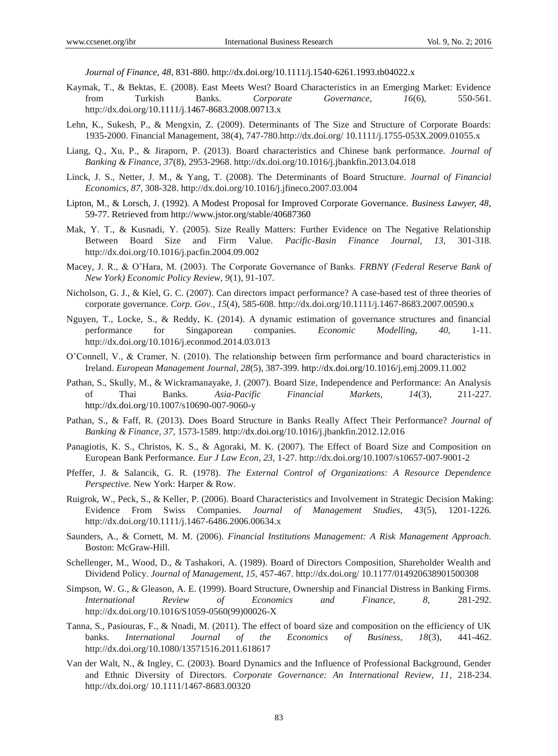*Journal of Finance, 48,* 831-880. http://dx.doi.org/10.1111/j.1540-6261.1993.tb04022.x

- Kaymak, T., & Bektas, E. (2008). East Meets West? Board Characteristics in an Emerging Market: Evidence from Turkish Banks. *Corporate Governance, 16*(6), 550-561. http://dx.doi.org/10.1111/j.1467-8683.2008.00713.x
- Lehn, K., Sukesh, P., & Mengxin, Z. (2009). Determinants of The Size and Structure of Corporate Boards: 1935-2000. Financial Management, 38(4), 747-780.http://dx.doi.org/ 10.1111/j.1755-053X.2009.01055.x
- Liang, Q., Xu, P., & Jiraporn, P. (2013). Board characteristics and Chinese bank performance. *Journal of Banking & Finance, 37*(8), 2953-2968. http://dx.doi.org/10.1016/j.jbankfin.2013.04.018
- Linck, J. S., Netter, J. M., & Yang, T. (2008). The Determinants of Board Structure. *Journal of Financial Economics, 87,* 308-328. http://dx.doi.org/10.1016/j.jfineco.2007.03.004
- Lipton, M., & Lorsch, J. (1992). A Modest Proposal for Improved Corporate Governance. *Business Lawyer, 48,*  59-77. Retrieved from http://www.jstor.org/stable/40687360
- Mak, Y. T., & Kusnadi, Y. (2005). Size Really Matters: Further Evidence on The Negative Relationship Between Board Size and Firm Value. *Pacific-Basin Finance Journal, 13,* 301-318. http://dx.doi.org/10.1016/j.pacfin.2004.09.002
- Macey, J. R., & O'Hara, M. (2003). The Corporate Governance of Banks. *FRBNY (Federal Reserve Bank of New York) Economic Policy Review, 9*(1), 91-107.
- Nicholson, G. J., & Kiel, G. C. (2007). Can directors impact performance? A case-based test of three theories of corporate governance. *Corp. Gov., 15*(4), 585-608. http://dx.doi.org/10.1111/j.1467-8683.2007.00590.x
- Nguyen, T., Locke, S., & Reddy, K. (2014). A dynamic estimation of governance structures and financial performance for Singaporean companies. *Economic Modelling, 40,* 1-11. http://dx.doi.org/10.1016/j.econmod.2014.03.013
- O'Connell, V., & Cramer, N. (2010). The relationship between firm performance and board characteristics in Ireland. *European Management Journal, 28*(5), 387-399. http://dx.doi.or[g/10.1016/j.emj.2009.11.002](http://dx.doi.org/10.1016/j.emj.2009.11.002)
- Pathan, S., Skully, M., & Wickramanayake, J. (2007). Board Size, Independence and Performance: An Analysis of Thai Banks. *Asia-Pacific Financial Markets, 14*(3), 211-227. http://dx.doi.org/10.1007/s10690-007-9060-y
- Pathan, S., & Faff, R. (2013). Does Board Structure in Banks Really Affect Their Performance? *Journal of Banking & Finance, 37,* 1573-1589. http://dx.doi.org/10.1016/j.jbankfin.2012.12.016
- Panagiotis, K. S., Christos, K. S., & Agoraki, M. K. (2007). The Effect of Board Size and Composition on European Bank Performance. *Eur J Law Econ, 23,* 1-27. http://dx.doi.org/10.1007/s10657-007-9001-2
- Pfeffer, J. & Salancik, G. R. (1978). *The External Control of Organizations: A Resource Dependence Perspective.* New York: Harper & Row.
- Ruigrok, W., Peck, S., & Keller, P. (2006). Board Characteristics and Involvement in Strategic Decision Making: Evidence From Swiss Companies. *Journal of Management Studies, 43*(5), 1201-1226. http://dx.doi.org/10.1111/j.1467-6486.2006.00634.x
- Saunders, A., & Cornett, M. M. (2006). *Financial Institutions Management: A Risk Management Approach.* Boston: McGraw-Hill.
- Schellenger, M., Wood, D., & Tashakori, A. (1989). Board of Directors Composition, Shareholder Wealth and Dividend Policy. *Journal of Management, 15,* 457-467. http://dx.doi.org/ 10.1177/014920638901500308
- Simpson, W. G., & Gleason, A. E. (1999). Board Structure, Ownership and Financial Distress in Banking Firms. *International Review of Economics and Finance, 8,* 281-292. http://dx.doi.org/10.1016/S1059-0560(99)00026-X
- Tanna, S., Pasiouras, F., & Nnadi, M. (2011). The effect of board size and composition on the efficiency of UK banks. *International Journal of the Economics of Business, 18*(3), 441-462. http://dx.doi.org/10.1080/13571516.2011.618617
- Van der Walt, N., & Ingley, C. (2003). Board Dynamics and the Influence of Professional Background, Gender and Ethnic Diversity of Directors. *Corporate Governance: An International Review, 11*, 218-234. http://dx.doi.org/ 10.1111/1467-8683.00320